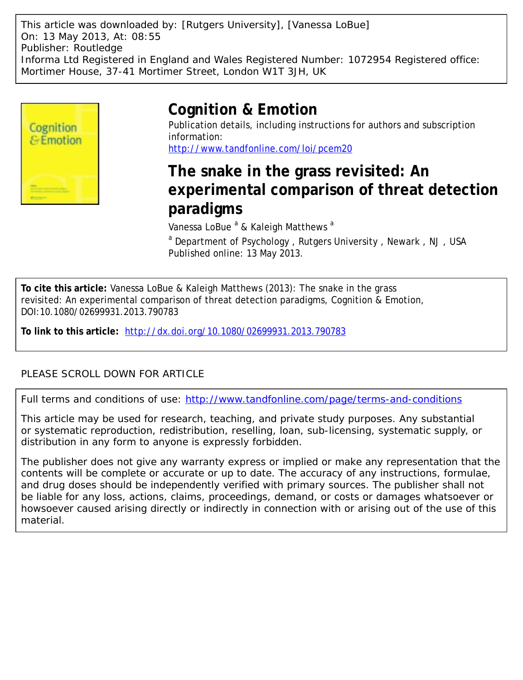This article was downloaded by: [Rutgers University], [Vanessa LoBue] On: 13 May 2013, At: 08:55 Publisher: Routledge Informa Ltd Registered in England and Wales Registered Number: 1072954 Registered office: Mortimer House, 37-41 Mortimer Street, London W1T 3JH, UK



# **Cognition & Emotion**

Publication details, including instructions for authors and subscription information: <http://www.tandfonline.com/loi/pcem20>

# **The snake in the grass revisited: An experimental comparison of threat detection paradigms**

Vanessa LoBue <sup>a</sup> & Kaleigh Matthews <sup>a</sup>

<sup>a</sup> Department of Psychology, Rutgers University, Newark, NJ, USA Published online: 13 May 2013.

**To cite this article:** Vanessa LoBue & Kaleigh Matthews (2013): The snake in the grass revisited: An experimental comparison of threat detection paradigms, Cognition & Emotion, DOI:10.1080/02699931.2013.790783

**To link to this article:** <http://dx.doi.org/10.1080/02699931.2013.790783>

# PLEASE SCROLL DOWN FOR ARTICLE

Full terms and conditions of use:<http://www.tandfonline.com/page/terms-and-conditions>

This article may be used for research, teaching, and private study purposes. Any substantial or systematic reproduction, redistribution, reselling, loan, sub-licensing, systematic supply, or distribution in any form to anyone is expressly forbidden.

The publisher does not give any warranty express or implied or make any representation that the contents will be complete or accurate or up to date. The accuracy of any instructions, formulae, and drug doses should be independently verified with primary sources. The publisher shall not be liable for any loss, actions, claims, proceedings, demand, or costs or damages whatsoever or howsoever caused arising directly or indirectly in connection with or arising out of the use of this material.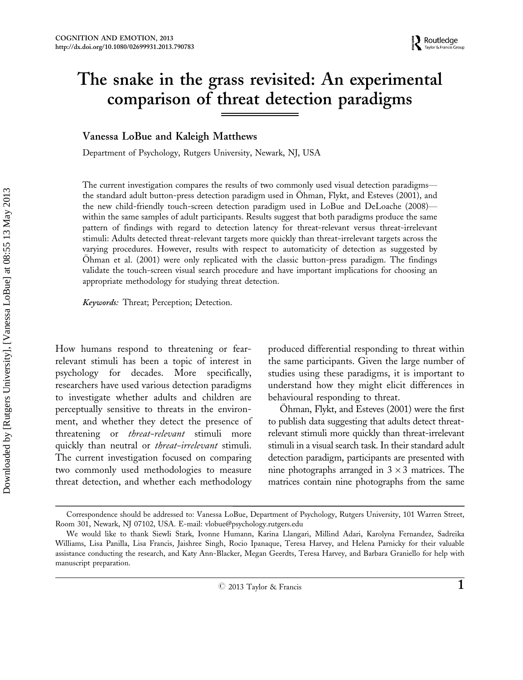# The snake in the grass revisited: An experimental comparison of threat detection paradigms

# Vanessa LoBue and Kaleigh Matthews

Department of Psychology, Rutgers University, Newark, NJ, USA

The current investigation compares the results of two commonly used visual detection paradigms the standard adult button-press detection paradigm used in Öhman, Flykt, and Esteves (2001), and the new child-friendly touch-screen detection paradigm used in LoBue and DeLoache (2008)\* within the same samples of adult participants. Results suggest that both paradigms produce the same pattern of findings with regard to detection latency for threat-relevant versus threat-irrelevant stimuli: Adults detected threat-relevant targets more quickly than threat-irrelevant targets across the varying procedures. However, results with respect to automaticity of detection as suggested by Ohman et al. (2001) were only replicated with the classic button-press paradigm. The findings validate the touch-screen visual search procedure and have important implications for choosing an appropriate methodology for studying threat detection.

Keywords: Threat; Perception; Detection.

How humans respond to threatening or fearrelevant stimuli has been a topic of interest in psychology for decades. More specifically, researchers have used various detection paradigms to investigate whether adults and children are perceptually sensitive to threats in the environment, and whether they detect the presence of threatening or *threat-relevant* stimuli more quickly than neutral or *threat-irrelevant* stimuli. The current investigation focused on comparing two commonly used methodologies to measure threat detection, and whether each methodology

produced differential responding to threat within the same participants. Given the large number of studies using these paradigms, it is important to understand how they might elicit differences in behavioural responding to threat.

Ohman, Flykt, and Esteves (2001) were the first to publish data suggesting that adults detect threatrelevant stimuli more quickly than threat-irrelevant stimuli in a visual search task. In their standard adult detection paradigm, participants are presented with nine photographs arranged in  $3 \times 3$  matrices. The matrices contain nine photographs from the same

Correspondence should be addressed to: Vanessa LoBue, Department of Psychology, Rutgers University, 101 Warren Street, Room 301, Newark, NJ 07102, USA. E-mail: vlobue@psychology.rutgers.edu

We would like to thank Siewli Stark, Ivonne Humann, Karina Llangari, Millind Adari, Karolyna Fernandez, Sadreika Williams, Lisa Panilla, Lisa Francis, Jaishree Singh, Rocio Ipanaque, Teresa Harvey, and Helena Parnicky for their valuable assistance conducting the research, and Katy Ann-Blacker, Megan Geerdts, Teresa Harvey, and Barbara Graniello for help with manuscript preparation.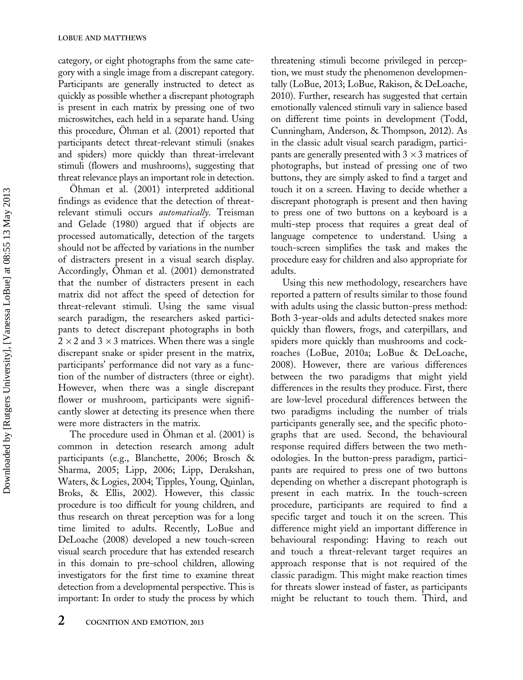category, or eight photographs from the same category with a single image from a discrepant category. Participants are generally instructed to detect as quickly as possible whether a discrepant photograph is present in each matrix by pressing one of two microswitches, each held in a separate hand. Using this procedure, Ohman et al. (2001) reported that participants detect threat-relevant stimuli (snakes and spiders) more quickly than threat-irrelevant stimuli (flowers and mushrooms), suggesting that threat relevance plays an important role in detection.

Ohman et al. (2001) interpreted additional findings as evidence that the detection of threatrelevant stimuli occurs automatically. Treisman and Gelade (1980) argued that if objects are processed automatically, detection of the targets should not be affected by variations in the number of distracters present in a visual search display. Accordingly, Ohman et al. (2001) demonstrated that the number of distracters present in each matrix did not affect the speed of detection for threat-relevant stimuli. Using the same visual search paradigm, the researchers asked participants to detect discrepant photographs in both 2  $\times$  2 and 3  $\times$  3 matrices. When there was a single discrepant snake or spider present in the matrix, participants' performance did not vary as a function of the number of distracters (three or eight). However, when there was a single discrepant flower or mushroom, participants were significantly slower at detecting its presence when there were more distracters in the matrix.

The procedure used in Ohman et al. (2001) is common in detection research among adult participants (e.g., Blanchette, 2006; Brosch & Sharma, 2005; Lipp, 2006; Lipp, Derakshan, Waters, & Logies, 2004; Tipples, Young, Quinlan, Broks, & Ellis, 2002). However, this classic procedure is too difficult for young children, and thus research on threat perception was for a long time limited to adults. Recently, LoBue and DeLoache (2008) developed a new touch-screen visual search procedure that has extended research in this domain to pre-school children, allowing investigators for the first time to examine threat detection from a developmental perspective. This is important: In order to study the process by which

threatening stimuli become privileged in perception, we must study the phenomenon developmentally (LoBue, 2013; LoBue, Rakison, & DeLoache, 2010). Further, research has suggested that certain emotionally valenced stimuli vary in salience based on different time points in development (Todd, Cunningham, Anderson, & Thompson, 2012). As in the classic adult visual search paradigm, participants are generally presented with 3  $\times$  3 matrices of photographs, but instead of pressing one of two buttons, they are simply asked to find a target and touch it on a screen. Having to decide whether a discrepant photograph is present and then having to press one of two buttons on a keyboard is a multi-step process that requires a great deal of language competence to understand. Using a touch-screen simplifies the task and makes the procedure easy for children and also appropriate for adults.

Using this new methodology, researchers have reported a pattern of results similar to those found with adults using the classic button-press method: Both 3-year-olds and adults detected snakes more quickly than flowers, frogs, and caterpillars, and spiders more quickly than mushrooms and cockroaches (LoBue, 2010a; LoBue & DeLoache, 2008). However, there are various differences between the two paradigms that might yield differences in the results they produce. First, there are low-level procedural differences between the two paradigms including the number of trials participants generally see, and the specific photographs that are used. Second, the behavioural response required differs between the two methodologies. In the button-press paradigm, participants are required to press one of two buttons depending on whether a discrepant photograph is present in each matrix. In the touch-screen procedure, participants are required to find a specific target and touch it on the screen. This difference might yield an important difference in behavioural responding: Having to reach out and touch a threat-relevant target requires an approach response that is not required of the classic paradigm. This might make reaction times for threats slower instead of faster, as participants might be reluctant to touch them. Third, and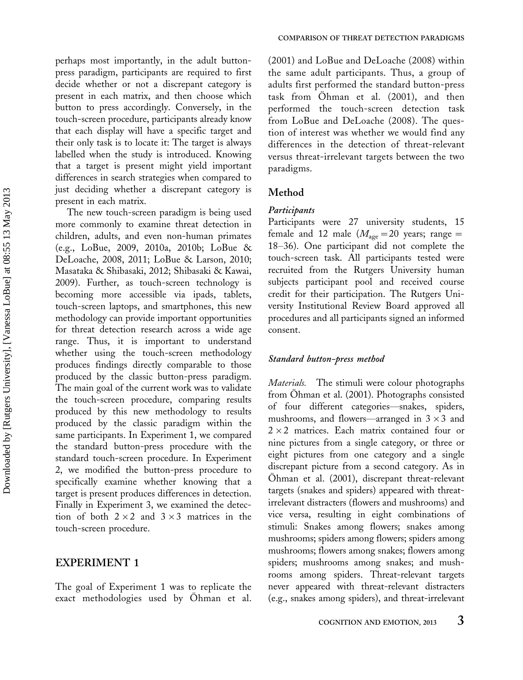perhaps most importantly, in the adult buttonpress paradigm, participants are required to first decide whether or not a discrepant category is present in each matrix, and then choose which button to press accordingly. Conversely, in the touch-screen procedure, participants already know that each display will have a specific target and their only task is to locate it: The target is always labelled when the study is introduced. Knowing that a target is present might yield important differences in search strategies when compared to just deciding whether a discrepant category is present in each matrix.

The new touch-screen paradigm is being used more commonly to examine threat detection in children, adults, and even non-human primates (e.g., LoBue, 2009, 2010a, 2010b; LoBue & DeLoache, 2008, 2011; LoBue & Larson, 2010; Masataka & Shibasaki, 2012; Shibasaki & Kawai, 2009). Further, as touch-screen technology is becoming more accessible via ipads, tablets, touch-screen laptops, and smartphones, this new methodology can provide important opportunities for threat detection research across a wide age range. Thus, it is important to understand whether using the touch-screen methodology produces findings directly comparable to those produced by the classic button-press paradigm. The main goal of the current work was to validate the touch-screen procedure, comparing results produced by this new methodology to results produced by the classic paradigm within the same participants. In Experiment 1, we compared the standard button-press procedure with the standard touch-screen procedure. In Experiment 2, we modified the button-press procedure to specifically examine whether knowing that a target is present produces differences in detection. Finally in Experiment 3, we examined the detection of both  $2 \times 2$  and  $3 \times 3$  matrices in the touch-screen procedure.

# EXPERIMENT 1

The goal of Experiment 1 was to replicate the exact methodologies used by Ohman et al. (2001) and LoBue and DeLoache (2008) within the same adult participants. Thus, a group of adults first performed the standard button-press task from Ohman et al. (2001), and then performed the touch-screen detection task from LoBue and DeLoache (2008). The question of interest was whether we would find any differences in the detection of threat-relevant versus threat-irrelevant targets between the two paradigms.

# Method

#### Participants

Participants were 27 university students, 15 female and 12 male ( $M_{\text{age}}=20$  years; range = 18-36). One participant did not complete the touch-screen task. All participants tested were recruited from the Rutgers University human subjects participant pool and received course credit for their participation. The Rutgers University Institutional Review Board approved all procedures and all participants signed an informed consent.

### Standard button-press method

Materials. The stimuli were colour photographs from Ohman et al. (2001). Photographs consisted of four different categories-snakes, spiders, mushrooms, and flowers—arranged in  $3 \times 3$  and 2-2 matrices. Each matrix contained four or nine pictures from a single category, or three or eight pictures from one category and a single discrepant picture from a second category. As in Ohman et al. (2001), discrepant threat-relevant targets (snakes and spiders) appeared with threatirrelevant distracters (flowers and mushrooms) and vice versa, resulting in eight combinations of stimuli: Snakes among flowers; snakes among mushrooms; spiders among flowers; spiders among mushrooms; flowers among snakes; flowers among spiders; mushrooms among snakes; and mushrooms among spiders. Threat-relevant targets never appeared with threat-relevant distracters (e.g., snakes among spiders), and threat-irrelevant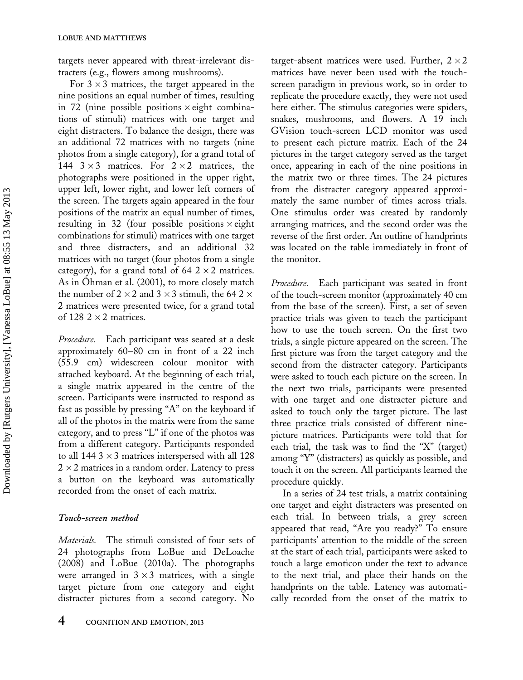targets never appeared with threat-irrelevant distracters (e.g., flowers among mushrooms).

For  $3 \times 3$  matrices, the target appeared in the nine positions an equal number of times, resulting in 72 (nine possible positions  $\times$  eight combinations of stimuli) matrices with one target and eight distracters. To balance the design, there was an additional 72 matrices with no targets (nine photos from a single category), for a grand total of 144  $3 \times 3$  matrices. For  $2 \times 2$  matrices, the photographs were positioned in the upper right, upper left, lower right, and lower left corners of the screen. The targets again appeared in the four positions of the matrix an equal number of times, resulting in 32 (four possible positions  $\times$  eight combinations for stimuli) matrices with one target and three distracters, and an additional 32 matrices with no target (four photos from a single category), for a grand total of 64  $2 \times 2$  matrices. As in Ohman et al. (2001), to more closely match the number of 2  $\times$  2 and 3  $\times$  3 stimuli, the 64 2  $\times$ 2 matrices were presented twice, for a grand total of  $128$  2  $\times$  2 matrices.

Procedure. Each participant was seated at a desk approximately  $60-80$  cm in front of a 22 inch (55.9 cm) widescreen colour monitor with attached keyboard. At the beginning of each trial, a single matrix appeared in the centre of the screen. Participants were instructed to respond as fast as possible by pressing "A" on the keyboard if all of the photos in the matrix were from the same category, and to press "L" if one of the photos was from a different category. Participants responded to all 144  $3 \times 3$  matrices interspersed with all 128  $2\times 2$  matrices in a random order. Latency to press a button on the keyboard was automatically recorded from the onset of each matrix.

## Touch-screen method

Materials. The stimuli consisted of four sets of 24 photographs from LoBue and DeLoache (2008) and LoBue (2010a). The photographs were arranged in  $3 \times 3$  matrices, with a single target picture from one category and eight distracter pictures from a second category. No

target-absent matrices were used. Further,  $2 \times 2$ matrices have never been used with the touchscreen paradigm in previous work, so in order to replicate the procedure exactly, they were not used here either. The stimulus categories were spiders, snakes, mushrooms, and flowers. A 19 inch GVision touch-screen LCD monitor was used to present each picture matrix. Each of the 24 pictures in the target category served as the target once, appearing in each of the nine positions in the matrix two or three times. The 24 pictures from the distracter category appeared approximately the same number of times across trials. One stimulus order was created by randomly arranging matrices, and the second order was the reverse of the first order. An outline of handprints was located on the table immediately in front of the monitor.

Procedure. Each participant was seated in front of the touch-screen monitor (approximately 40 cm from the base of the screen). First, a set of seven practice trials was given to teach the participant how to use the touch screen. On the first two trials, a single picture appeared on the screen. The first picture was from the target category and the second from the distracter category. Participants were asked to touch each picture on the screen. In the next two trials, participants were presented with one target and one distracter picture and asked to touch only the target picture. The last three practice trials consisted of different ninepicture matrices. Participants were told that for each trial, the task was to find the "X" (target) among ''Y'' (distracters) as quickly as possible, and touch it on the screen. All participants learned the procedure quickly.

In a series of 24 test trials, a matrix containing one target and eight distracters was presented on each trial. In between trials, a grey screen appeared that read, "Are you ready?" To ensure participants' attention to the middle of the screen at the start of each trial, participants were asked to touch a large emoticon under the text to advance to the next trial, and place their hands on the handprints on the table. Latency was automatically recorded from the onset of the matrix to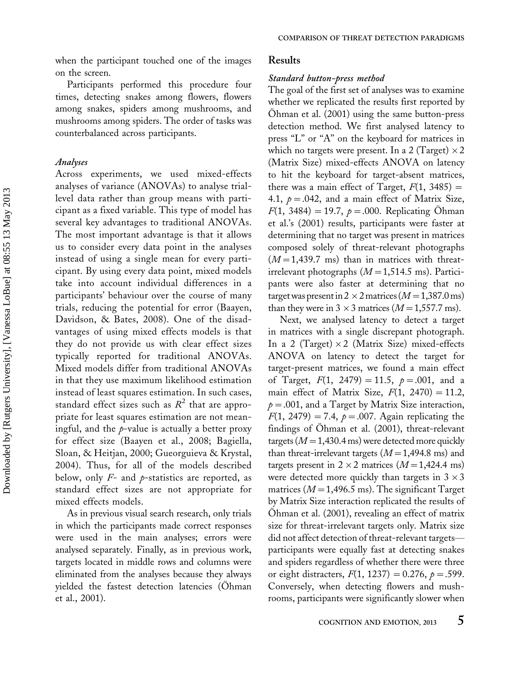when the participant touched one of the images on the screen.

Participants performed this procedure four times, detecting snakes among flowers, flowers among snakes, spiders among mushrooms, and mushrooms among spiders. The order of tasks was counterbalanced across participants.

#### Analyses

Across experiments, we used mixed-effects analyses of variance (ANOVAs) to analyse triallevel data rather than group means with participant as a fixed variable. This type of model has several key advantages to traditional ANOVAs. The most important advantage is that it allows us to consider every data point in the analyses instead of using a single mean for every participant. By using every data point, mixed models take into account individual differences in a participants' behaviour over the course of many trials, reducing the potential for error (Baayen, Davidson, & Bates, 2008). One of the disadvantages of using mixed effects models is that they do not provide us with clear effect sizes typically reported for traditional ANOVAs. Mixed models differ from traditional ANOVAs in that they use maximum likelihood estimation instead of least squares estimation. In such cases, standard effect sizes such as  $R^2$  that are appropriate for least squares estimation are not meaningful, and the  $p$ -value is actually a better proxy for effect size (Baayen et al., 2008; Bagiella, Sloan, & Heitjan, 2000; Gueorguieva & Krystal, 2004). Thus, for all of the models described below, only  $F-$  and  $p$ -statistics are reported, as standard effect sizes are not appropriate for mixed effects models.

As in previous visual search research, only trials in which the participants made correct responses were used in the main analyses; errors were analysed separately. Finally, as in previous work, targets located in middle rows and columns were eliminated from the analyses because they always yielded the fastest detection latencies (Ohman et al., 2001).

## Results

#### Standard button-press method

The goal of the first set of analyses was to examine whether we replicated the results first reported by Ohman et al.  $(2001)$  using the same button-press detection method. We first analysed latency to press "L" or "A" on the keyboard for matrices in which no targets were present. In a 2 (Target)  $\times 2$ (Matrix Size) mixed-effects ANOVA on latency to hit the keyboard for target-absent matrices, there was a main effect of Target,  $F(1, 3485) =$ 4.1,  $p = 0.042$ , and a main effect of Matrix Size,  $F(1, 3484) = 19.7, p = .000$ . Replicating Ohman et al.'s (2001) results, participants were faster at determining that no target was present in matrices composed solely of threat-relevant photographs  $(M=1,439.7 \text{ ms})$  than in matrices with threatirrelevant photographs  $(M=1,514.5 \text{ ms})$ . Participants were also faster at determining that no target was present in 2  $\times$  2 matrices (M = 1,387.0 ms) than they were in  $3 \times 3$  matrices ( $M = 1,557.7$  ms).

Next, we analysed latency to detect a target in matrices with a single discrepant photograph. In a 2 (Target) × 2 (Matrix Size) mixed-effects ANOVA on latency to detect the target for target-present matrices, we found a main effect of Target,  $F(1, 2479) = 11.5$ ,  $p = .001$ , and a main effect of Matrix Size,  $F(1, 2470) = 11.2$ ,  $p = 0.001$ , and a Target by Matrix Size interaction,  $F(1, 2479) = 7.4$ ,  $p = .007$ . Again replicating the findings of Ohman et al. (2001), threat-relevant targets ( $M=1,430.4$  ms) were detected more quickly than threat-irrelevant targets  $(M=1,494.8 \text{ ms})$  and targets present in  $2 \times 2$  matrices  $(M=1,424.4 \text{ ms})$ were detected more quickly than targets in 3  $\times$  3 matrices ( $M=1,496.5$  ms). The significant Target by Matrix Size interaction replicated the results of Ohman et al. (2001), revealing an effect of matrix size for threat-irrelevant targets only. Matrix size did not affect detection of threat-relevant targets participants were equally fast at detecting snakes and spiders regardless of whether there were three or eight distracters,  $F(1, 1237) = 0.276$ ,  $p = .599$ . Conversely, when detecting flowers and mushrooms, participants were significantly slower when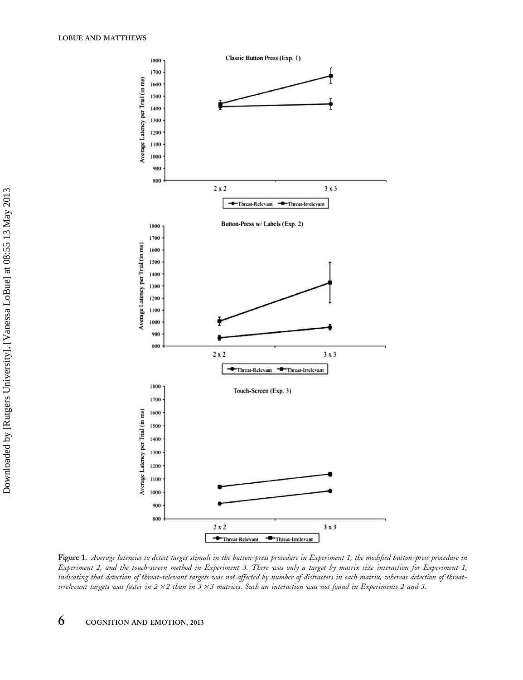

Figure 1. Average latencies to detect target stimuli in the button-press procedure in Experiment 1, the modified button-press procedure in Experiment 2, and the touch-screen method in Experiment 3. There was only a target by matrix size interaction for Experiment 1, indicating that detection of threat-relevant targets was not affected by number of distracters in each matrix, whereas detection of threatirrelevant targets was faster in 2 × 2 than in 3 × 3 matrices. Such an interaction was not found in Experiments 2 and 3.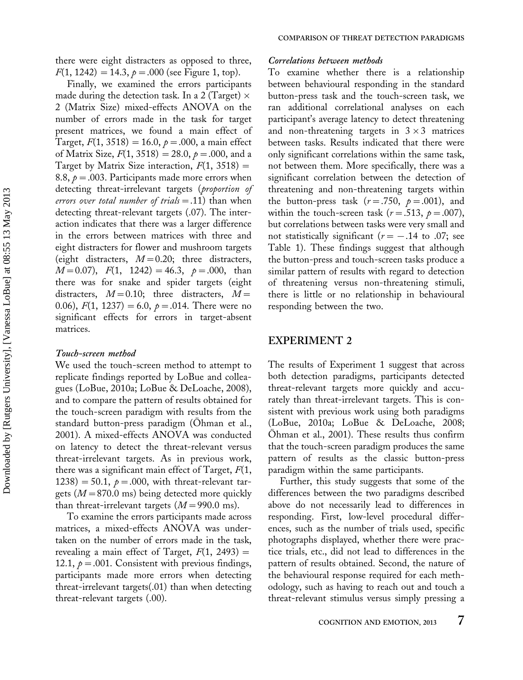there were eight distracters as opposed to three,  $F(1, 1242) = 14.3, p = .000$  (see Figure 1, top).

Finally, we examined the errors participants made during the detection task. In a 2 (Target)  $\times$ 2 (Matrix Size) mixed-effects ANOVA on the number of errors made in the task for target present matrices, we found a main effect of Target,  $F(1, 3518) = 16.0, p = .000$ , a main effect of Matrix Size,  $F(1, 3518) = 28.0, \ p = .000, \text{ and a}$ Target by Matrix Size interaction,  $F(1, 3518) =$ 8.8,  $p = 0.003$ . Participants made more errors when detecting threat-irrelevant targets (proportion of errors over total number of trials = .11) than when detecting threat-relevant targets (.07). The interaction indicates that there was a larger difference in the errors between matrices with three and eight distracters for flower and mushroom targets (eight distracters,  $M=0.20$ ; three distracters,  $M=0.07$ ),  $F(1, 1242) = 46.3, p = .000, \text{ than}$ there was for snake and spider targets (eight distracters,  $M=0.10$ ; three distracters,  $M=$ 0.06),  $F(1, 1237) = 6.0$ ,  $p = .014$ . There were no significant effects for errors in target-absent matrices.

## Touch-screen method

We used the touch-screen method to attempt to replicate findings reported by LoBue and colleagues (LoBue, 2010a; LoBue & DeLoache, 2008), and to compare the pattern of results obtained for the touch-screen paradigm with results from the standard button-press paradigm (Ohman et al., 2001). A mixed-effects ANOVA was conducted on latency to detect the threat-relevant versus threat-irrelevant targets. As in previous work, there was a significant main effect of Target,  $F(1,$ 1238) = 50.1,  $p = .000$ , with threat-relevant targets ( $M=870.0$  ms) being detected more quickly than threat-irrelevant targets  $(M=990.0 \text{ ms})$ .

To examine the errors participants made across matrices, a mixed-effects ANOVA was undertaken on the number of errors made in the task, revealing a main effect of Target,  $F(1, 2493) =$ 12.1,  $p = .001$ . Consistent with previous findings, participants made more errors when detecting threat-irrelevant targets(.01) than when detecting threat-relevant targets (.00).

#### Correlations between methods

To examine whether there is a relationship between behavioural responding in the standard button-press task and the touch-screen task, we ran additional correlational analyses on each participant's average latency to detect threatening and non-threatening targets in  $3 \times 3$  matrices between tasks. Results indicated that there were only significant correlations within the same task, not between them. More specifically, there was a significant correlation between the detection of threatening and non-threatening targets within the button-press task  $(r=.750, p=.001)$ , and within the touch-screen task ( $r = .513$ ,  $p = .007$ ), but correlations between tasks were very small and not statistically significant ( $r = -.14$  to .07; see Table 1). These findings suggest that although the button-press and touch-screen tasks produce a similar pattern of results with regard to detection of threatening versus non-threatening stimuli, there is little or no relationship in behavioural responding between the two.

# EXPERIMENT 2

The results of Experiment 1 suggest that across both detection paradigms, participants detected threat-relevant targets more quickly and accurately than threat-irrelevant targets. This is consistent with previous work using both paradigms (LoBue, 2010a; LoBue & DeLoache, 2008; Ohman et al., 2001). These results thus confirm that the touch-screen paradigm produces the same pattern of results as the classic button-press paradigm within the same participants.

Further, this study suggests that some of the differences between the two paradigms described above do not necessarily lead to differences in responding. First, low-level procedural differences, such as the number of trials used, specific photographs displayed, whether there were practice trials, etc., did not lead to differences in the pattern of results obtained. Second, the nature of the behavioural response required for each methodology, such as having to reach out and touch a threat-relevant stimulus versus simply pressing a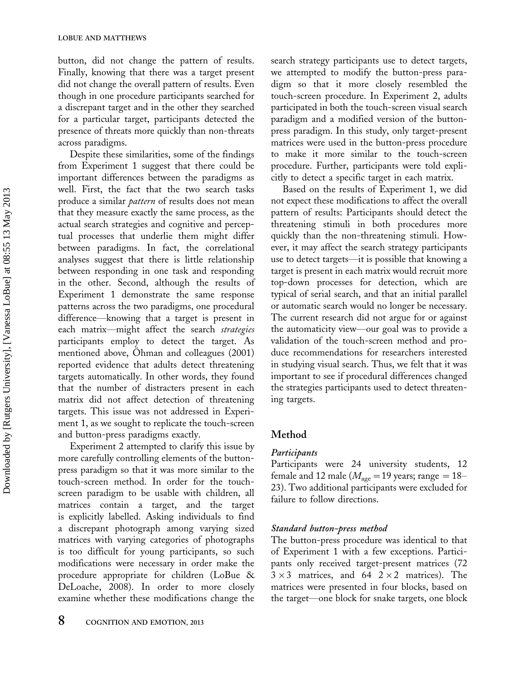button, did not change the pattern of results. Finally, knowing that there was a target present did not change the overall pattern of results. Even though in one procedure participants searched for a discrepant target and in the other they searched for a particular target, participants detected the presence of threats more quickly than non-threats across paradigms.

Despite these similarities, some of the findings from Experiment 1 suggest that there could be important differences between the paradigms as well. First, the fact that the two search tasks produce a similar *pattern* of results does not mean that they measure exactly the same process, as the actual search strategies and cognitive and perceptual processes that underlie them might differ between paradigms. In fact, the correlational analyses suggest that there is little relationship between responding in one task and responding in the other. Second, although the results of Experiment 1 demonstrate the same response patterns across the two paradigms, one procedural difference—knowing that a target is present in each matrix-might affect the search strategies participants employ to detect the target. As mentioned above, Ohman and colleagues (2001) reported evidence that adults detect threatening targets automatically. In other words, they found that the number of distracters present in each matrix did not affect detection of threatening targets. This issue was not addressed in Experiment 1, as we sought to replicate the touch-screen and button-press paradigms exactly.

Experiment 2 attempted to clarify this issue by more carefully controlling elements of the buttonpress paradigm so that it was more similar to the touch-screen method. In order for the touchscreen paradigm to be usable with children, all matrices contain a target, and the target is explicitly labelled. Asking individuals to find a discrepant photograph among varying sized matrices with varying categories of photographs is too difficult for young participants, so such modifications were necessary in order make the procedure appropriate for children (LoBue & DeLoache, 2008). In order to more closely examine whether these modifications change the

search strategy participants use to detect targets, we attempted to modify the button-press paradigm so that it more closely resembled the touch-screen procedure. In Experiment 2, adults participated in both the touch-screen visual search paradigm and a modified version of the buttonpress paradigm. In this study, only target-present matrices were used in the button-press procedure to make it more similar to the touch-screen procedure. Further, participants were told explicitly to detect a specific target in each matrix.

Based on the results of Experiment 1, we did not expect these modifications to affect the overall pattern of results: Participants should detect the threatening stimuli in both procedures more quickly than the non-threatening stimuli. However, it may affect the search strategy participants use to detect targets—it is possible that knowing a target is present in each matrix would recruit more top-down processes for detection, which are typical of serial search, and that an initial parallel or automatic search would no longer be necessary. The current research did not argue for or against the automaticity view-our goal was to provide a validation of the touch-screen method and produce recommendations for researchers interested in studying visual search. Thus, we felt that it was important to see if procedural differences changed the strategies participants used to detect threatening targets.

# Method

# **Participants**

Participants were 24 university students, 12 female and 12 male ( $M_{\text{age}}=19$  years; range = 18– 23). Two additional participants were excluded for failure to follow directions.

# Standard button-press method

The button-press procedure was identical to that of Experiment 1 with a few exceptions. Participants only received target-present matrices (72  $3 \times 3$  matrices, and  $64$   $2 \times 2$  matrices). The matrices were presented in four blocks, based on the target—one block for snake targets, one block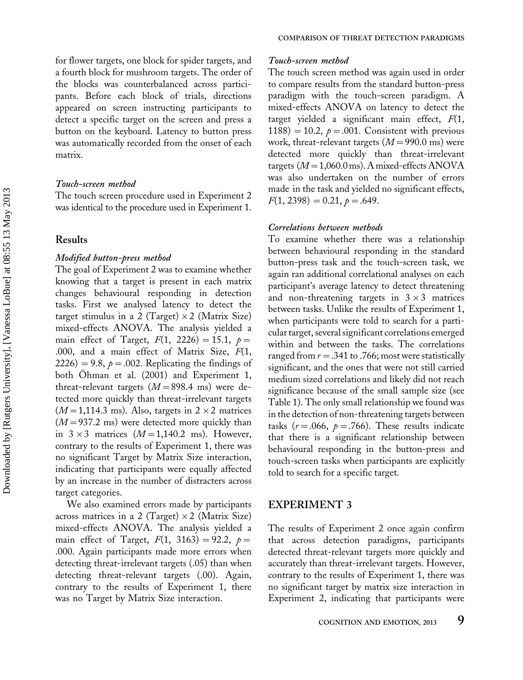for flower targets, one block for spider targets, and a fourth block for mushroom targets. The order of the blocks was counterbalanced across participants. Before each block of trials, directions appeared on screen instructing participants to detect a specific target on the screen and press a button on the keyboard. Latency to button press was automatically recorded from the onset of each matrix.

#### Touch-screen method

The touch screen procedure used in Experiment 2 was identical to the procedure used in Experiment 1.

## Results

### Modified button-press method

The goal of Experiment 2 was to examine whether knowing that a target is present in each matrix changes behavioural responding in detection tasks. First we analysed latency to detect the target stimulus in a 2 (Target)  $\times$  2 (Matrix Size) mixed-effects ANOVA. The analysis yielded a main effect of Target,  $F(1, 2226) = 15.1$ ,  $p =$ .000, and a main effect of Matrix Size,  $F(1, 1)$ 2226) = 9.8,  $p = 0.002$ . Replicating the findings of both Ohman et al. (2001) and Experiment 1, threat-relevant targets  $(M=898.4 \text{ ms})$  were detected more quickly than threat-irrelevant targets  $(M=1,114.3 \text{ ms})$ . Also, targets in  $2 \times 2$  matrices  $(M=937.2 \text{ ms})$  were detected more quickly than in  $3 \times 3$  matrices  $(M=1,140.2 \text{ ms})$ . However, contrary to the results of Experiment 1, there was no significant Target by Matrix Size interaction, indicating that participants were equally affected by an increase in the number of distracters across target categories.

We also examined errors made by participants across matrices in a 2 (Target)  $\times$  2 (Matrix Size) mixed-effects ANOVA. The analysis yielded a main effect of Target,  $F(1, 3163) = 92.2$ ,  $p =$ .000. Again participants made more errors when detecting threat-irrelevant targets (.05) than when detecting threat-relevant targets (.00). Again, contrary to the results of Experiment 1, there was no Target by Matrix Size interaction.

#### Touch-screen method

The touch screen method was again used in order to compare results from the standard button-press paradigm with the touch-screen paradigm. A mixed-effects ANOVA on latency to detect the target yielded a significant main effect,  $F(1,$ 1188) = 10.2,  $p = 0.01$ . Consistent with previous work, threat-relevant targets  $(M=990.0 \text{ ms})$  were detected more quickly than threat-irrelevant targets ( $M=1,060.0$  ms). A mixed-effects ANOVA was also undertaken on the number of errors made in the task and yielded no significant effects,  $F(1, 2398) = 0.21, p = .649.$ 

### Correlations between methods

To examine whether there was a relationship between behavioural responding in the standard button-press task and the touch-screen task, we again ran additional correlational analyses on each participant's average latency to detect threatening and non-threatening targets in  $3 \times 3$  matrices between tasks. Unlike the results of Experiment 1, when participants were told to search for a particular target, several significant correlations emerged within and between the tasks. The correlations ranged from  $r = .341$  to .766; most were statistically significant, and the ones that were not still carried medium sized correlations and likely did not reach significance because of the small sample size (see Table 1). The only small relationship we found was in the detection of non-threatening targets between tasks ( $r = .066$ ,  $p = .766$ ). These results indicate that there is a significant relationship between behavioural responding in the button-press and touch-screen tasks when participants are explicitly told to search for a specific target.

# EXPERIMENT 3

The results of Experiment 2 once again confirm that across detection paradigms, participants detected threat-relevant targets more quickly and accurately than threat-irrelevant targets. However, contrary to the results of Experiment 1, there was no significant target by matrix size interaction in Experiment 2, indicating that participants were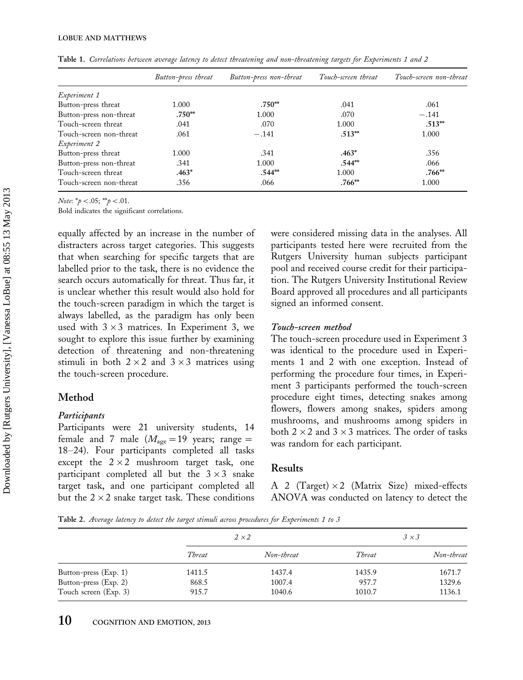|                         | Button-press threat | Button-press non-threat | Touch-screen threat | Touch-screen non-threat |
|-------------------------|---------------------|-------------------------|---------------------|-------------------------|
| Experiment 1            |                     |                         |                     |                         |
| Button-press threat     | 1.000               | $.750**$                | .041                | .061                    |
| Button-press non-threat | $.750**$            | 1.000                   | .070                | $-.141$                 |
| Touch-screen threat     | .041                | .070                    | 1.000               | $.513**$                |
| Touch-screen non-threat | .061                | $-.141$                 | $.513**$            | 1.000                   |
| Experiment 2            |                     |                         |                     |                         |
| Button-press threat     | 1.000               | .341                    | $.463*$             | .356                    |
| Button-press non-threat | .341                | 1.000                   | $.544**$            | .066                    |
| Touch-screen threat     | $.463*$             | $.544**$                | 1.000               | $.766**$                |
| Touch-screen non-threat | .356                | .066                    | $.766**$            | 1.000                   |

Table 1. Correlations between average latency to detect threatening and non-threatening targets for Experiments 1 and 2

Note:  $*_{p} < .05;$   $*_{p} < .01$ .

Bold indicates the significant correlations.

equally affected by an increase in the number of distracters across target categories. This suggests that when searching for specific targets that are labelled prior to the task, there is no evidence the search occurs automatically for threat. Thus far, it is unclear whether this result would also hold for the touch-screen paradigm in which the target is always labelled, as the paradigm has only been used with  $3 \times 3$  matrices. In Experiment 3, we sought to explore this issue further by examining detection of threatening and non-threatening stimuli in both  $2 \times 2$  and  $3 \times 3$  matrices using the touch-screen procedure.

## Method

### Participants

Participants were 21 university students, 14 female and 7 male  $(M_{\text{age}}=19 \text{ years}; \text{ range}=$ 18–24). Four participants completed all tasks except the  $2 \times 2$  mushroom target task, one participant completed all but the  $3 \times 3$  snake target task, and one participant completed all but the 2  $\times$  2 snake target task. These conditions were considered missing data in the analyses. All participants tested here were recruited from the Rutgers University human subjects participant pool and received course credit for their participation. The Rutgers University Institutional Review Board approved all procedures and all participants signed an informed consent.

### Touch-screen method

The touch-screen procedure used in Experiment 3 was identical to the procedure used in Experiments 1 and 2 with one exception. Instead of performing the procedure four times, in Experiment 3 participants performed the touch-screen procedure eight times, detecting snakes among flowers, flowers among snakes, spiders among mushrooms, and mushrooms among spiders in both 2  $\times$  2 and 3  $\times$  3 matrices. The order of tasks was random for each participant.

### Results

A 2 (Target)-2 (Matrix Size) mixed-effects ANOVA was conducted on latency to detect the

Table 2. Average latency to detect the target stimuli across procedures for Experiments 1 to 3

|                       | $2 \times 2$ |            | $3 \times 3$ |            |
|-----------------------|--------------|------------|--------------|------------|
|                       | Threat       | Non-threat | Threat       | Non-threat |
| Button-press (Exp. 1) | 1411.5       | 1437.4     | 1435.9       | 1671.7     |
| Button-press (Exp. 2) | 868.5        | 1007.4     | 957.7        | 1329.6     |
| Touch screen (Exp. 3) | 915.7        | 1040.6     | 1010.7       | 1136.1     |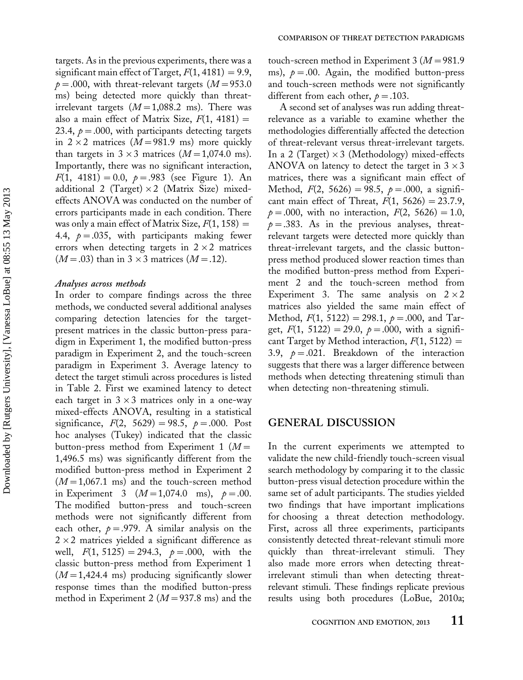targets. As in the previous experiments, there was a significant main effect of Target,  $F(1, 4181) = 9.9$ ,  $p = 0.00$ , with threat-relevant targets ( $M = 953.0$ ms) being detected more quickly than threatirrelevant targets  $(M=1,088.2 \text{ ms})$ . There was also a main effect of Matrix Size,  $F(1, 4181) =$ 23.4,  $p = 0.000$ , with participants detecting targets in  $2 \times 2$  matrices ( $M=981.9$  ms) more quickly than targets in  $3 \times 3$  matrices ( $M=1,074.0$  ms). Importantly, there was no significant interaction,  $F(1, 4181) = 0.0, p = .983$  (see Figure 1). An additional 2 (Target) ×2 (Matrix Size) mixedeffects ANOVA was conducted on the number of errors participants made in each condition. There was only a main effect of Matrix Size,  $F(1, 158) =$ 4.4,  $p = 0.035$ , with participants making fewer errors when detecting targets in  $2 \times 2$  matrices  $(M=.03)$  than in 3 × 3 matrices  $(M=.12)$ .

#### Analyses across methods

In order to compare findings across the three methods, we conducted several additional analyses comparing detection latencies for the targetpresent matrices in the classic button-press paradigm in Experiment 1, the modified button-press paradigm in Experiment 2, and the touch-screen paradigm in Experiment 3. Average latency to detect the target stimuli across procedures is listed in Table 2. First we examined latency to detect each target in  $3 \times 3$  matrices only in a one-way mixed-effects ANOVA, resulting in a statistical significance,  $F(2, 5629) = 98.5$ ,  $p = .000$ . Post hoc analyses (Tukey) indicated that the classic button-press method from Experiment 1  $(M =$ 1,496.5 ms) was significantly different from the modified button-press method in Experiment 2  $(M=1,067.1 \text{ ms})$  and the touch-screen method in Experiment 3  $(M=1,074.0 \text{ ms})$ ,  $p=.00$ . The modified button-press and touch-screen methods were not significantly different from each other,  $p = .979$ . A similar analysis on the  $2\times 2$  matrices yielded a significant difference as well,  $F(1, 5125) = 294.3$ ,  $p = .000$ , with the classic button-press method from Experiment 1  $(M=1,424.4 \text{ ms})$  producing significantly slower response times than the modified button-press method in Experiment 2 ( $M=937.8$  ms) and the touch-screen method in Experiment 3 ( $M=981.9$ ms),  $p = 0.00$ . Again, the modified button-press and touch-screen methods were not significantly different from each other,  $p = .103$ .

A second set of analyses was run adding threatrelevance as a variable to examine whether the methodologies differentially affected the detection of threat-relevant versus threat-irrelevant targets. In a 2 (Target)-3 (Methodology) mixed-effects ANOVA on latency to detect the target in 3  $\times$  3 matrices, there was a significant main effect of Method,  $F(2, 5626) = 98.5$ ,  $p = .000$ , a significant main effect of Threat,  $F(1, 5626) = 23.7.9$ ,  $p = .000$ , with no interaction,  $F(2, 5626) = 1.0$ ,  $p = 0.383$ . As in the previous analyses, threatrelevant targets were detected more quickly than threat-irrelevant targets, and the classic buttonpress method produced slower reaction times than the modified button-press method from Experiment 2 and the touch-screen method from Experiment 3. The same analysis on  $2 \times 2$ matrices also yielded the same main effect of Method,  $F(1, 5122) = 298.1$ ,  $p = .000$ , and Target,  $F(1, 5122) = 29.0, p = .000$ , with a significant Target by Method interaction,  $F(1, 5122) =$ 3.9,  $p = 0.021$ . Breakdown of the interaction suggests that there was a larger difference between methods when detecting threatening stimuli than when detecting non-threatening stimuli.

# GENERAL DISCUSSION

In the current experiments we attempted to validate the new child-friendly touch-screen visual search methodology by comparing it to the classic button-press visual detection procedure within the same set of adult participants. The studies yielded two findings that have important implications for choosing a threat detection methodology. First, across all three experiments, participants consistently detected threat-relevant stimuli more quickly than threat-irrelevant stimuli. They also made more errors when detecting threatirrelevant stimuli than when detecting threatrelevant stimuli. These findings replicate previous results using both procedures (LoBue, 2010a;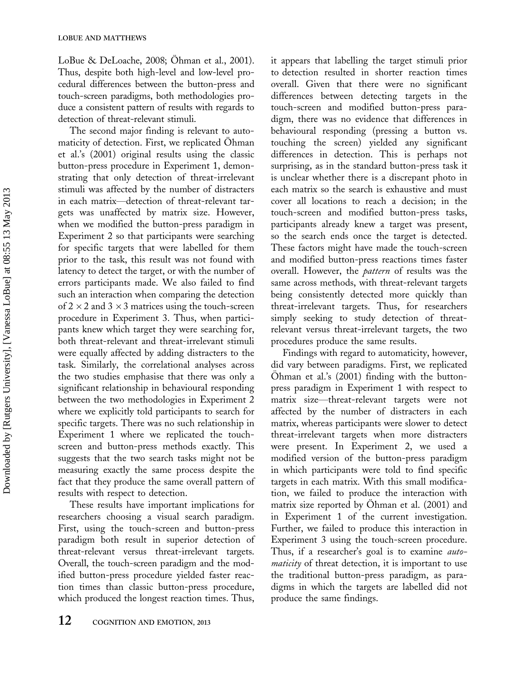LoBue & DeLoache,  $2008$ ;  $\ddot{\text{Ohman}}$  et al.,  $2001$ ). Thus, despite both high-level and low-level procedural differences between the button-press and touch-screen paradigms, both methodologies produce a consistent pattern of results with regards to detection of threat-relevant stimuli.

The second major finding is relevant to automaticity of detection. First, we replicated Ohman et al.'s (2001) original results using the classic button-press procedure in Experiment 1, demonstrating that only detection of threat-irrelevant stimuli was affected by the number of distracters in each matrix-detection of threat-relevant targets was unaffected by matrix size. However, when we modified the button-press paradigm in Experiment 2 so that participants were searching for specific targets that were labelled for them prior to the task, this result was not found with latency to detect the target, or with the number of errors participants made. We also failed to find such an interaction when comparing the detection of  $2 \times 2$  and  $3 \times 3$  matrices using the touch-screen procedure in Experiment 3. Thus, when participants knew which target they were searching for, both threat-relevant and threat-irrelevant stimuli were equally affected by adding distracters to the task. Similarly, the correlational analyses across the two studies emphasise that there was only a significant relationship in behavioural responding between the two methodologies in Experiment 2 where we explicitly told participants to search for specific targets. There was no such relationship in Experiment 1 where we replicated the touchscreen and button-press methods exactly. This suggests that the two search tasks might not be measuring exactly the same process despite the fact that they produce the same overall pattern of results with respect to detection.

These results have important implications for researchers choosing a visual search paradigm. First, using the touch-screen and button-press paradigm both result in superior detection of threat-relevant versus threat-irrelevant targets. Overall, the touch-screen paradigm and the modified button-press procedure yielded faster reaction times than classic button-press procedure, which produced the longest reaction times. Thus,

it appears that labelling the target stimuli prior to detection resulted in shorter reaction times overall. Given that there were no significant differences between detecting targets in the touch-screen and modified button-press paradigm, there was no evidence that differences in behavioural responding (pressing a button vs. touching the screen) yielded any significant differences in detection. This is perhaps not surprising, as in the standard button-press task it is unclear whether there is a discrepant photo in each matrix so the search is exhaustive and must cover all locations to reach a decision; in the touch-screen and modified button-press tasks, participants already knew a target was present, so the search ends once the target is detected. These factors might have made the touch-screen and modified button-press reactions times faster overall. However, the pattern of results was the same across methods, with threat-relevant targets being consistently detected more quickly than threat-irrelevant targets. Thus, for researchers simply seeking to study detection of threatrelevant versus threat-irrelevant targets, the two procedures produce the same results.

Findings with regard to automaticity, however, did vary between paradigms. First, we replicated Öhman et al.'s (2001) finding with the buttonpress paradigm in Experiment 1 with respect to matrix size-threat-relevant targets were not affected by the number of distracters in each matrix, whereas participants were slower to detect threat-irrelevant targets when more distracters were present. In Experiment 2, we used a modified version of the button-press paradigm in which participants were told to find specific targets in each matrix. With this small modification, we failed to produce the interaction with matrix size reported by Ohman et al. (2001) and in Experiment 1 of the current investigation. Further, we failed to produce this interaction in Experiment 3 using the touch-screen procedure. Thus, if a researcher's goal is to examine automaticity of threat detection, it is important to use the traditional button-press paradigm, as paradigms in which the targets are labelled did not produce the same findings.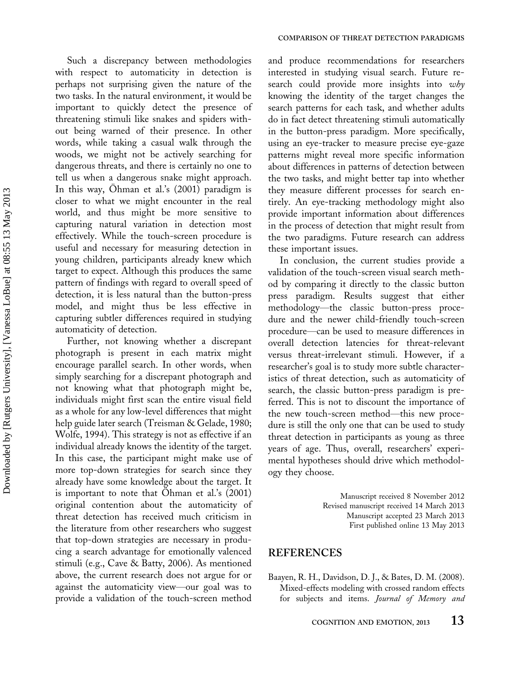Such a discrepancy between methodologies with respect to automaticity in detection is perhaps not surprising given the nature of the two tasks. In the natural environment, it would be important to quickly detect the presence of threatening stimuli like snakes and spiders without being warned of their presence. In other words, while taking a casual walk through the woods, we might not be actively searching for dangerous threats, and there is certainly no one to tell us when a dangerous snake might approach. In this way, Ohman et al.'s (2001) paradigm is closer to what we might encounter in the real world, and thus might be more sensitive to capturing natural variation in detection most effectively. While the touch-screen procedure is useful and necessary for measuring detection in young children, participants already knew which target to expect. Although this produces the same pattern of findings with regard to overall speed of detection, it is less natural than the button-press model, and might thus be less effective in capturing subtler differences required in studying automaticity of detection.

Further, not knowing whether a discrepant photograph is present in each matrix might encourage parallel search. In other words, when simply searching for a discrepant photograph and not knowing what that photograph might be, individuals might first scan the entire visual field as a whole for any low-level differences that might help guide later search (Treisman & Gelade, 1980; Wolfe, 1994). This strategy is not as effective if an individual already knows the identity of the target. In this case, the participant might make use of more top-down strategies for search since they already have some knowledge about the target. It is important to note that Ohman et al.'s (2001) original contention about the automaticity of threat detection has received much criticism in the literature from other researchers who suggest that top-down strategies are necessary in producing a search advantage for emotionally valenced stimuli (e.g., Cave & Batty, 2006). As mentioned above, the current research does not argue for or against the automaticity view-our goal was to provide a validation of the touch-screen method

and produce recommendations for researchers interested in studying visual search. Future research could provide more insights into why knowing the identity of the target changes the search patterns for each task, and whether adults do in fact detect threatening stimuli automatically in the button-press paradigm. More specifically, using an eye-tracker to measure precise eye-gaze patterns might reveal more specific information about differences in patterns of detection between the two tasks, and might better tap into whether they measure different processes for search entirely. An eye-tracking methodology might also provide important information about differences in the process of detection that might result from the two paradigms. Future research can address these important issues.

In conclusion, the current studies provide a validation of the touch-screen visual search method by comparing it directly to the classic button press paradigm. Results suggest that either methodology-the classic button-press procedure and the newer child-friendly touch-screen procedure—can be used to measure differences in overall detection latencies for threat-relevant versus threat-irrelevant stimuli. However, if a researcher's goal is to study more subtle characteristics of threat detection, such as automaticity of search, the classic button-press paradigm is preferred. This is not to discount the importance of the new touch-screen method—this new procedure is still the only one that can be used to study threat detection in participants as young as three years of age. Thus, overall, researchers' experimental hypotheses should drive which methodology they choose.

> Manuscript received 8 November 2012 Revised manuscript received 14 March 2013 Manuscript accepted 23 March 2013 First published online 13 May 2013

# **REFERENCES**

Baayen, R. H., Davidson, D. J., & Bates, D. M. (2008). Mixed-effects modeling with crossed random effects for subjects and items. Journal of Memory and